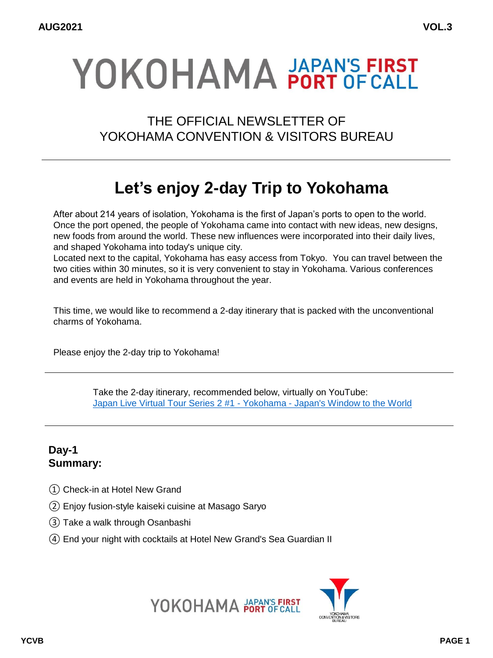# YOKOHAMA PORT OF CALL

THE OFFICIAL NEWSLETTER OF YOKOHAMA CONVENTION & VISITORS BUREAU

# **Let's enjoy 2-day Trip to Yokohama**

After about 214 years of isolation, Yokohama is the first of Japan's ports to open to the world. Once the port opened, the people of Yokohama came into contact with new ideas, new designs, new foods from around the world. These new influences were incorporated into their daily lives, and shaped Yokohama into today's unique city.

Located next to the capital, Yokohama has easy access from Tokyo. You can travel between the two cities within 30 minutes, so it is very convenient to stay in Yokohama. Various conferences and events are held in Yokohama throughout the year.

This time, we would like to recommend a 2-day itinerary that is packed with the unconventional charms of Yokohama.

Please enjoy the 2-day trip to Yokohama!

Take the 2-day itinerary, recommended below, virtually on YouTube: [Japan Live Virtual Tour Series 2 #1 -](https://www.youtube.com/watch?v=PShgy0C4b0E) Yokohama - Japan's Window to the World

## **Day-1 Summary:**

- ① Check-in at Hotel New Grand
- ② Enjoy fusion-style kaiseki cuisine at Masago Saryo
- ③ Take a walk through Osanbashi
- ④ End your night with cocktails at Hotel New Grand's Sea Guardian II



YOKOHAMA PAPAN'S FIRST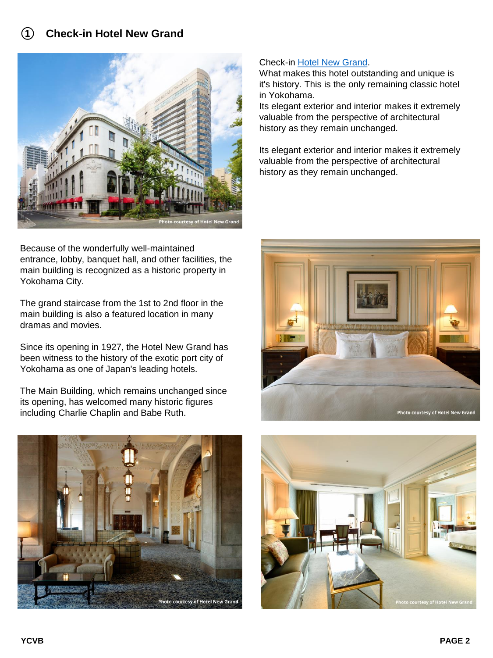

Because of the wonderfully well-maintained entrance, lobby, banquet hall, and other facilities, the main building is recognized as a historic property in Yokohama City.

The grand staircase from the 1st to 2nd floor in the main building is also a featured location in many dramas and movies.

Since its opening in 1927, the Hotel New Grand has been witness to the history of the exotic port city of Yokohama as one of Japan's leading hotels.

The Main Building, which remains unchanged since its opening, has welcomed many historic figures including Charlie Chaplin and Babe Ruth.



#### Check-in [Hotel New Grand.](https://www.hotel-newgrand.co.jp/english/)

What makes this hotel outstanding and unique is it's history. This is the only remaining classic hotel in Yokohama.

Its elegant exterior and interior makes it extremely valuable from the perspective of architectural history as they remain unchanged.

Its elegant exterior and interior makes it extremely valuable from the perspective of architectural history as they remain unchanged.



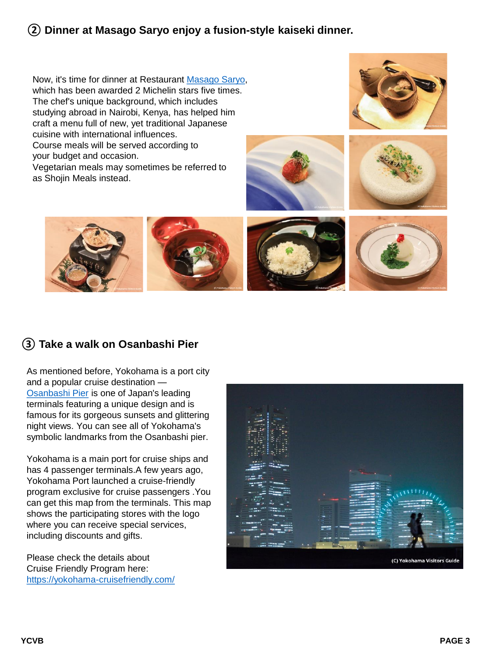# **② Dinner at Masago Saryo enjoy a fusion-style kaiseki dinner.**

Now, it's time for dinner at Restaurant [Masago Saryo](https://www.masago.jp/), which has been awarded 2 Michelin stars five times. The chef's unique background, which includes studying abroad in Nairobi, Kenya, has helped him craft a menu full of new, yet traditional Japanese cuisine with international influences. Course meals will be served according to your budget and occasion. Vegetarian meals may sometimes be referred to

as Shojin Meals instead.









# **③ Take a walk on Osanbashi Pier**

As mentioned before, Yokohama is a port city and a popular cruise destination — [Osanbashi Pier](https://www.yokohamajapan.com/things-to-do/detail.php?bbid=179) is one of Japan's leading terminals featuring a unique design and is famous for its gorgeous sunsets and glittering night views. You can see all of Yokohama's symbolic landmarks from the Osanbashi pier.

Yokohama is a main port for cruise ships and has 4 passenger terminals.A few years ago, Yokohama Port launched a cruise-friendly program exclusive for cruise passengers .You can get this map from the terminals. This map shows the participating stores with the logo where you can receive special services, including discounts and gifts.

Please check the details about Cruise Friendly Program here: <https://yokohama-cruisefriendly.com/>

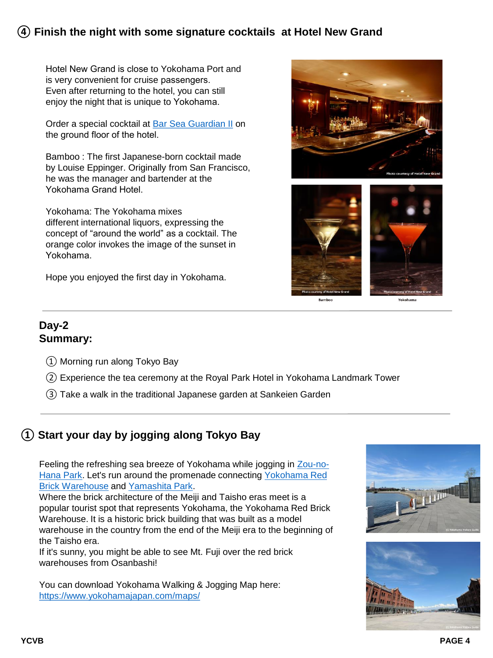## **④ Finish the night with some signature cocktails at Hotel New Grand**

Hotel New Grand is close to Yokohama Port and is very convenient for cruise passengers. Even after returning to the hotel, you can still enjoy the night that is unique to Yokohama.

Order a special cocktail at [Bar Sea Guardian II](https://www.hotel-newgrand.co.jp/english/restaurant/sea-guardian-2.php) on the ground floor of the hotel.

Bamboo : The first Japanese-born cocktail made by Louise Eppinger. Originally from San Francisco, he was the manager and bartender at the Yokohama Grand Hotel.

Yokohama: The Yokohama mixes different international liquors, expressing the concept of "around the world" as a cocktail. The orange color invokes the image of the sunset in Yokohama.

Hope you enjoyed the first day in Yokohama.



#### **Day-2 Summary:**

- ① Morning run along Tokyo Bay
- ② Experience the tea ceremony at the Royal Park Hotel in Yokohama Landmark Tower
- ③ Take a walk in the traditional Japanese garden at Sankeien Garden

# **① Start your day by jogging along Tokyo Bay**

Feeling the refreshing sea breeze of Yokohama while jogging in Zou-no-Hana Park. Let's run around the promenade connecting Yokohama Red Brick Warehouse and [Yamashita Park](https://www.yokohamajapan.com/things-to-do/detail.php?bbid=190).

Where the brick architecture of the Meiji and Taisho eras meet is a popular tourist spot that represents Yokohama, the Yokohama Red Brick Warehouse. It is a historic brick building that was built as a model warehouse in the country from the end of the Meiji era to the beginning of the Taisho era.

If it's sunny, you might be able to see Mt. Fuji over the red brick warehouses from Osanbashi!

You can download Yokohama Walking & Jogging Map here: <https://www.yokohamajapan.com/maps/>



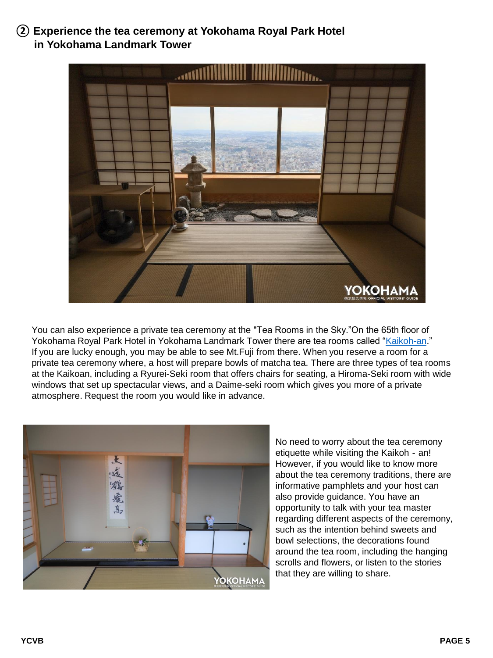# **② Experience the tea ceremony at Yokohama Royal Park Hotel in Yokohama Landmark Tower**



You can also experience a private tea ceremony at the "Tea Rooms in the Sky."On the 65th floor of Yokohama Royal Park Hotel in Yokohama Landmark Tower there are tea rooms called ["Kaikoh-an](https://www2.yrph.com/facilities/tea-ceremony-room/)." If you are lucky enough, you may be able to see Mt.Fuji from there. When you reserve a room for a private tea ceremony where, a host will prepare bowls of matcha tea. There are three types of tea rooms at the Kaikoan, including a Ryurei-Seki room that offers chairs for seating, a Hiroma-Seki room with wide windows that set up spectacular views, and a Daime-seki room which gives you more of a private atmosphere. Request the room you would like in advance.



No need to worry about the tea ceremony etiquette while visiting the Kaikoh‐an! However, if you would like to know more about the tea ceremony traditions, there are informative pamphlets and your host can also provide guidance. You have an opportunity to talk with your tea master regarding different aspects of the ceremony, such as the intention behind sweets and bowl selections, the decorations found around the tea room, including the hanging scrolls and flowers, or listen to the stories that they are willing to share.